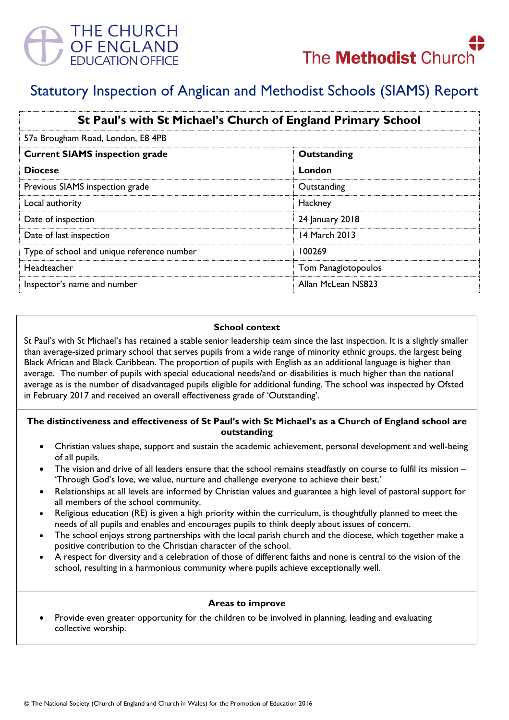



# Statutory Inspection of Anglican and Methodist Schools (SIAMS) Report

| St Paul's with St Michael's Church of England Primary School |                     |
|--------------------------------------------------------------|---------------------|
| 57a Brougham Road, London, E8 4PB                            |                     |
| <b>Current SIAMS inspection grade</b>                        | Outstanding         |
| <b>Diocese</b>                                               | London              |
| Previous SIAMS inspection grade                              | Outstanding         |
| Local authority                                              | Hackney             |
| Date of inspection                                           | 24 January 2018     |
| Date of last inspection                                      | 14 March 2013       |
| Type of school and unique reference number                   | 100269              |
| Headteacher                                                  | Tom Panagiotopoulos |
| Inspector's name and number                                  | Allan McLean NS823  |

#### **School context**

St Paul's with St Michael's has retained a stable senior leadership team since the last inspection. It is a slightly smaller than average-sized primary school that serves pupils from a wide range of minority ethnic groups, the largest being Black African and Black Caribbean. The proportion of pupils with English as an additional language is higher than average. The number of pupils with special educational needs/and or disabilities is much higher than the national average as is the number of disadvantaged pupils eligible for additional funding. The school was inspected by Ofsted in February 2017 and received an overall effectiveness grade of 'Outstanding'.

#### **The distinctiveness and effectiveness of St Paul's with St Michael's as a Church of England school are outstanding**

- Christian values shape, support and sustain the academic achievement, personal development and well-being of all pupils.
- The vision and drive of all leaders ensure that the school remains steadfastly on course to fulfil its mission 'Through God's love, we value, nurture and challenge everyone to achieve their best.'
- Relationships at all levels are informed by Christian values and guarantee a high level of pastoral support for all members of the school community.
- Religious education (RE) is given a high priority within the curriculum, is thoughtfully planned to meet the needs of all pupils and enables and encourages pupils to think deeply about issues of concern.
- The school enjoys strong partnerships with the local parish church and the diocese, which together make a positive contribution to the Christian character of the school.
- A respect for diversity and a celebration of those of different faiths and none is central to the vision of the school, resulting in a harmonious community where pupils achieve exceptionally well.

### **Areas to improve**

 Provide even greater opportunity for the children to be involved in planning, leading and evaluating collective worship.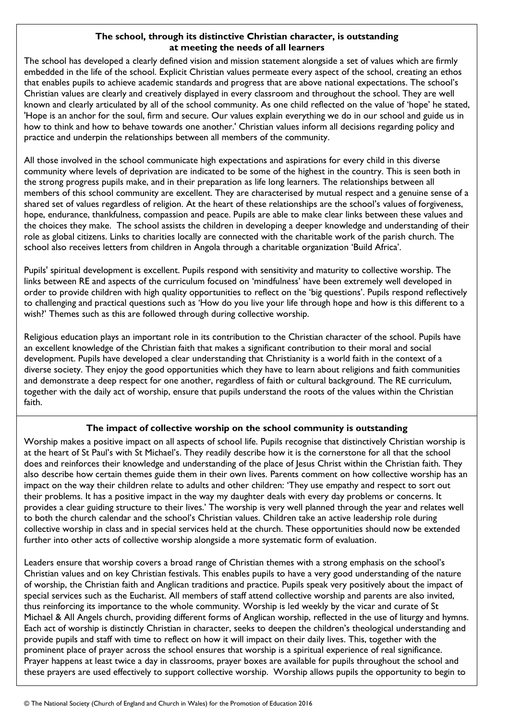### **The school, through its distinctive Christian character, is outstanding at meeting the needs of all learners**

The school has developed a clearly defined vision and mission statement alongside a set of values which are firmly embedded in the life of the school. Explicit Christian values permeate every aspect of the school, creating an ethos that enables pupils to achieve academic standards and progress that are above national expectations. The school's Christian values are clearly and creatively displayed in every classroom and throughout the school. They are well known and clearly articulated by all of the school community. As one child reflected on the value of 'hope' he stated, 'Hope is an anchor for the soul, firm and secure. Our values explain everything we do in our school and guide us in how to think and how to behave towards one another.' Christian values inform all decisions regarding policy and practice and underpin the relationships between all members of the community.

All those involved in the school communicate high expectations and aspirations for every child in this diverse community where levels of deprivation are indicated to be some of the highest in the country. This is seen both in the strong progress pupils make, and in their preparation as life long learners. The relationships between all members of this school community are excellent. They are characterised by mutual respect and a genuine sense of a shared set of values regardless of religion. At the heart of these relationships are the school's values of forgiveness, hope, endurance, thankfulness, compassion and peace. Pupils are able to make clear links between these values and the choices they make. The school assists the children in developing a deeper knowledge and understanding of their role as global citizens. Links to charities locally are connected with the charitable work of the parish church. The school also receives letters from children in Angola through a charitable organization 'Build Africa'.

Pupils' spiritual development is excellent. Pupils respond with sensitivity and maturity to collective worship. The links between RE and aspects of the curriculum focused on 'mindfulness' have been extremely well developed in order to provide children with high quality opportunities to reflect on the 'big questions'. Pupils respond reflectively to challenging and practical questions such as 'How do you live your life through hope and how is this different to a wish?' Themes such as this are followed through during collective worship.

Religious education plays an important role in its contribution to the Christian character of the school. Pupils have an excellent knowledge of the Christian faith that makes a significant contribution to their moral and social development. Pupils have developed a clear understanding that Christianity is a world faith in the context of a diverse society. They enjoy the good opportunities which they have to learn about religions and faith communities and demonstrate a deep respect for one another, regardless of faith or cultural background. The RE curriculum, together with the daily act of worship, ensure that pupils understand the roots of the values within the Christian faith.

## **The impact of collective worship on the school community is outstanding**

Worship makes a positive impact on all aspects of school life. Pupils recognise that distinctively Christian worship is at the heart of St Paul's with St Michael's. They readily describe how it is the cornerstone for all that the school does and reinforces their knowledge and understanding of the place of Jesus Christ within the Christian faith. They also describe how certain themes guide them in their own lives. Parents comment on how collective worship has an impact on the way their children relate to adults and other children: 'They use empathy and respect to sort out their problems. It has a positive impact in the way my daughter deals with every day problems or concerns. It provides a clear guiding structure to their lives.' The worship is very well planned through the year and relates well to both the church calendar and the school's Christian values. Children take an active leadership role during collective worship in class and in special services held at the church. These opportunities should now be extended further into other acts of collective worship alongside a more systematic form of evaluation.

Leaders ensure that worship covers a broad range of Christian themes with a strong emphasis on the school's Christian values and on key Christian festivals. This enables pupils to have a very good understanding of the nature of worship, the Christian faith and Anglican traditions and practice. Pupils speak very positively about the impact of special services such as the Eucharist. All members of staff attend collective worship and parents are also invited, thus reinforcing its importance to the whole community. Worship is led weekly by the vicar and curate of St Michael & All Angels church, providing different forms of Anglican worship, reflected in the use of liturgy and hymns. Each act of worship is distinctly Christian in character, seeks to deepen the children's theological understanding and provide pupils and staff with time to reflect on how it will impact on their daily lives. This, together with the prominent place of prayer across the school ensures that worship is a spiritual experience of real significance. Prayer happens at least twice a day in classrooms, prayer boxes are available for pupils throughout the school and these prayers are used effectively to support collective worship. Worship allows pupils the opportunity to begin to